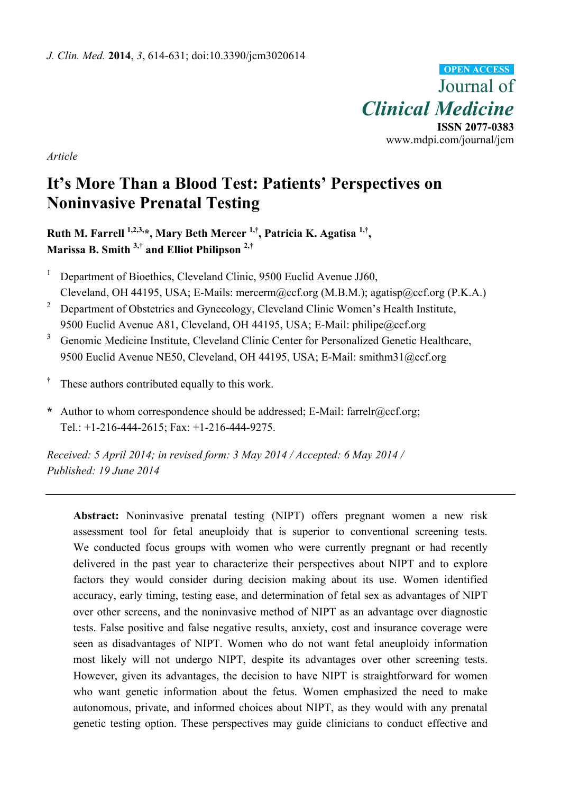Journal of *Clinical Medicine*  **ISSN 2077-0383**  www.mdpi.com/journal/jcm **OPEN ACCESS**

*Article* 

# **It's More Than a Blood Test: Patients' Perspectives on Noninvasive Prenatal Testing**

**Ruth M. Farrell 1,2,3,\*, Mary Beth Mercer 1,†, Patricia K. Agatisa 1,†, Marissa B. Smith 3,† and Elliot Philipson 2,†**

- 1 Department of Bioethics, Cleveland Clinic, 9500 Euclid Avenue JJ60, Cleveland, OH 44195, USA; E-Mails: mercerm@ccf.org (M.B.M.); agatisp@ccf.org (P.K.A.)
- 2 Department of Obstetrics and Gynecology, Cleveland Clinic Women's Health Institute, 9500 Euclid Avenue A81, Cleveland, OH 44195, USA; E-Mail: philipe@ccf.org
- 3 Genomic Medicine Institute, Cleveland Clinic Center for Personalized Genetic Healthcare, 9500 Euclid Avenue NE50, Cleveland, OH 44195, USA; E-Mail: smithm31@ccf.org
- **†** These authors contributed equally to this work.
- **\*** Author to whom correspondence should be addressed; E-Mail: farrelr@ccf.org; Tel.: +1-216-444-2615; Fax: +1-216-444-9275.

*Received: 5 April 2014; in revised form: 3 May 2014 / Accepted: 6 May 2014 / Published: 19 June 2014* 

**Abstract:** Noninvasive prenatal testing (NIPT) offers pregnant women a new risk assessment tool for fetal aneuploidy that is superior to conventional screening tests. We conducted focus groups with women who were currently pregnant or had recently delivered in the past year to characterize their perspectives about NIPT and to explore factors they would consider during decision making about its use. Women identified accuracy, early timing, testing ease, and determination of fetal sex as advantages of NIPT over other screens, and the noninvasive method of NIPT as an advantage over diagnostic tests. False positive and false negative results, anxiety, cost and insurance coverage were seen as disadvantages of NIPT. Women who do not want fetal aneuploidy information most likely will not undergo NIPT, despite its advantages over other screening tests. However, given its advantages, the decision to have NIPT is straightforward for women who want genetic information about the fetus. Women emphasized the need to make autonomous, private, and informed choices about NIPT, as they would with any prenatal genetic testing option. These perspectives may guide clinicians to conduct effective and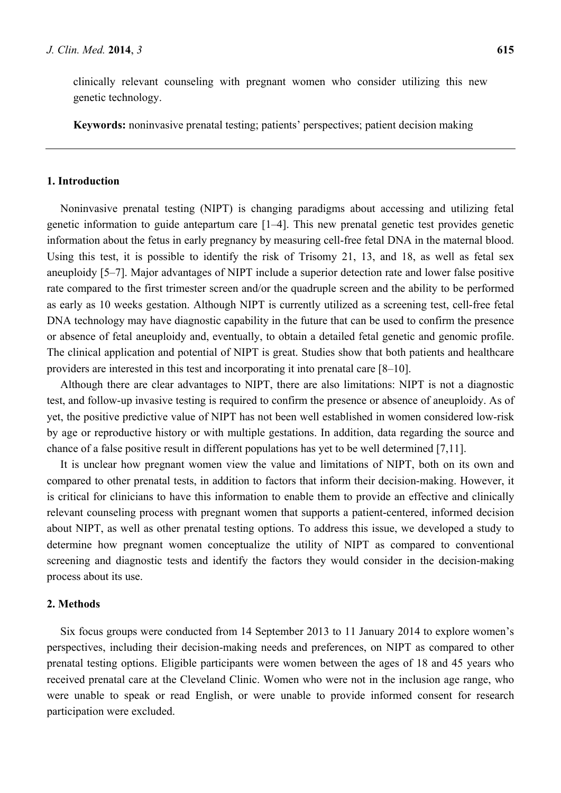clinically relevant counseling with pregnant women who consider utilizing this new genetic technology.

**Keywords:** noninvasive prenatal testing; patients' perspectives; patient decision making

# **1. Introduction**

Noninvasive prenatal testing (NIPT) is changing paradigms about accessing and utilizing fetal genetic information to guide antepartum care [1–4]. This new prenatal genetic test provides genetic information about the fetus in early pregnancy by measuring cell-free fetal DNA in the maternal blood. Using this test, it is possible to identify the risk of Trisomy 21, 13, and 18, as well as fetal sex aneuploidy [5–7]. Major advantages of NIPT include a superior detection rate and lower false positive rate compared to the first trimester screen and/or the quadruple screen and the ability to be performed as early as 10 weeks gestation. Although NIPT is currently utilized as a screening test, cell-free fetal DNA technology may have diagnostic capability in the future that can be used to confirm the presence or absence of fetal aneuploidy and, eventually, to obtain a detailed fetal genetic and genomic profile. The clinical application and potential of NIPT is great. Studies show that both patients and healthcare providers are interested in this test and incorporating it into prenatal care [8–10].

Although there are clear advantages to NIPT, there are also limitations: NIPT is not a diagnostic test, and follow-up invasive testing is required to confirm the presence or absence of aneuploidy. As of yet, the positive predictive value of NIPT has not been well established in women considered low-risk by age or reproductive history or with multiple gestations. In addition, data regarding the source and chance of a false positive result in different populations has yet to be well determined [7,11].

It is unclear how pregnant women view the value and limitations of NIPT, both on its own and compared to other prenatal tests, in addition to factors that inform their decision-making. However, it is critical for clinicians to have this information to enable them to provide an effective and clinically relevant counseling process with pregnant women that supports a patient-centered, informed decision about NIPT, as well as other prenatal testing options. To address this issue, we developed a study to determine how pregnant women conceptualize the utility of NIPT as compared to conventional screening and diagnostic tests and identify the factors they would consider in the decision-making process about its use.

# **2. Methods**

Six focus groups were conducted from 14 September 2013 to 11 January 2014 to explore women's perspectives, including their decision-making needs and preferences, on NIPT as compared to other prenatal testing options. Eligible participants were women between the ages of 18 and 45 years who received prenatal care at the Cleveland Clinic. Women who were not in the inclusion age range, who were unable to speak or read English, or were unable to provide informed consent for research participation were excluded.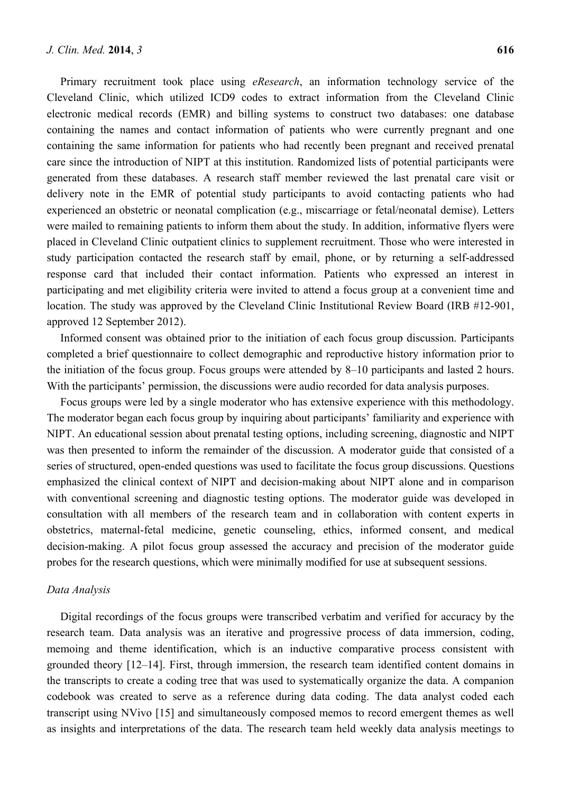Primary recruitment took place using *eResearch*, an information technology service of the Cleveland Clinic, which utilized ICD9 codes to extract information from the Cleveland Clinic electronic medical records (EMR) and billing systems to construct two databases: one database containing the names and contact information of patients who were currently pregnant and one containing the same information for patients who had recently been pregnant and received prenatal care since the introduction of NIPT at this institution. Randomized lists of potential participants were generated from these databases. A research staff member reviewed the last prenatal care visit or delivery note in the EMR of potential study participants to avoid contacting patients who had experienced an obstetric or neonatal complication (e.g., miscarriage or fetal/neonatal demise). Letters were mailed to remaining patients to inform them about the study. In addition, informative flyers were placed in Cleveland Clinic outpatient clinics to supplement recruitment. Those who were interested in study participation contacted the research staff by email, phone, or by returning a self-addressed response card that included their contact information. Patients who expressed an interest in participating and met eligibility criteria were invited to attend a focus group at a convenient time and location. The study was approved by the Cleveland Clinic Institutional Review Board (IRB #12-901, approved 12 September 2012).

Informed consent was obtained prior to the initiation of each focus group discussion. Participants completed a brief questionnaire to collect demographic and reproductive history information prior to the initiation of the focus group. Focus groups were attended by 8–10 participants and lasted 2 hours. With the participants' permission, the discussions were audio recorded for data analysis purposes.

Focus groups were led by a single moderator who has extensive experience with this methodology. The moderator began each focus group by inquiring about participants' familiarity and experience with NIPT. An educational session about prenatal testing options, including screening, diagnostic and NIPT was then presented to inform the remainder of the discussion. A moderator guide that consisted of a series of structured, open-ended questions was used to facilitate the focus group discussions. Questions emphasized the clinical context of NIPT and decision-making about NIPT alone and in comparison with conventional screening and diagnostic testing options. The moderator guide was developed in consultation with all members of the research team and in collaboration with content experts in obstetrics, maternal-fetal medicine, genetic counseling, ethics, informed consent, and medical decision-making. A pilot focus group assessed the accuracy and precision of the moderator guide probes for the research questions, which were minimally modified for use at subsequent sessions.

#### *Data Analysis*

Digital recordings of the focus groups were transcribed verbatim and verified for accuracy by the research team. Data analysis was an iterative and progressive process of data immersion, coding, memoing and theme identification, which is an inductive comparative process consistent with grounded theory [12–14]. First, through immersion, the research team identified content domains in the transcripts to create a coding tree that was used to systematically organize the data. A companion codebook was created to serve as a reference during data coding. The data analyst coded each transcript using NVivo [15] and simultaneously composed memos to record emergent themes as well as insights and interpretations of the data. The research team held weekly data analysis meetings to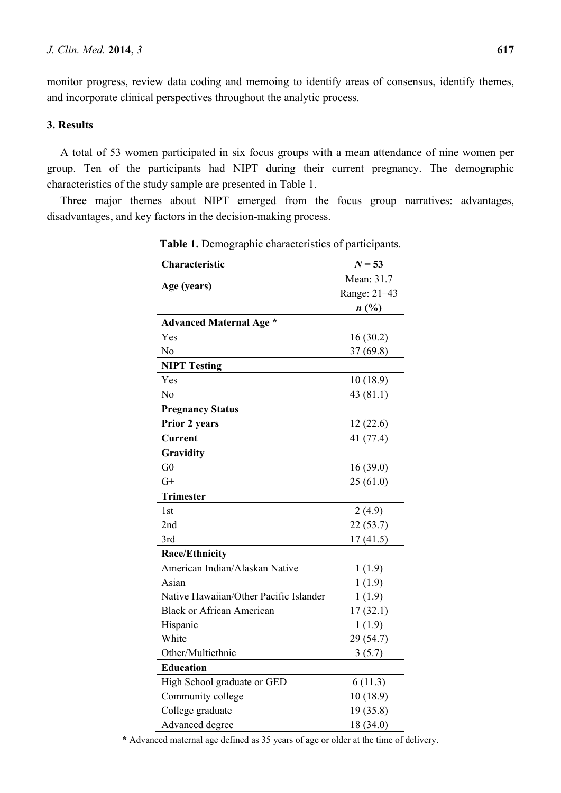monitor progress, review data coding and memoing to identify areas of consensus, identify themes, and incorporate clinical perspectives throughout the analytic process.

# **3. Results**

A total of 53 women participated in six focus groups with a mean attendance of nine women per group. Ten of the participants had NIPT during their current pregnancy. The demographic characteristics of the study sample are presented in Table 1.

Three major themes about NIPT emerged from the focus group narratives: advantages, disadvantages, and key factors in the decision-making process.

| Characteristic                         | $N = 53$     |
|----------------------------------------|--------------|
| Age (years)                            | Mean: 31.7   |
|                                        | Range: 21-43 |
|                                        | n(%)         |
| <b>Advanced Maternal Age *</b>         |              |
| Yes                                    | 16(30.2)     |
| No                                     | 37(69.8)     |
| <b>NIPT Testing</b>                    |              |
| Yes                                    | 10(18.9)     |
| No                                     | 43 (81.1)    |
| <b>Pregnancy Status</b>                |              |
| Prior 2 years                          | 12(22.6)     |
| <b>Current</b>                         | 41 (77.4)    |
| Gravidity                              |              |
| G <sub>0</sub>                         | 16(39.0)     |
| $G+$                                   | 25(61.0)     |
| <b>Trimester</b>                       |              |
| 1st                                    | 2(4.9)       |
| 2nd                                    | 22(53.7)     |
| 3rd                                    | 17(41.5)     |
| <b>Race/Ethnicity</b>                  |              |
| American Indian/Alaskan Native         | 1(1.9)       |
| Asian                                  | 1(1.9)       |
| Native Hawaiian/Other Pacific Islander | 1(1.9)       |
| <b>Black or African American</b>       | 17(32.1)     |
| Hispanic                               | 1(1.9)       |
| White                                  | 29 (54.7)    |
| Other/Multiethnic                      | 3(5.7)       |
| <b>Education</b>                       |              |
| High School graduate or GED            | 6(11.3)      |
| Community college                      | 10(18.9)     |
| College graduate                       | 19(35.8)     |
| Advanced degree                        | 18 (34.0)    |

**Table 1.** Demographic characteristics of participants.

**\*** Advanced maternal age defined as 35 years of age or older at the time of delivery.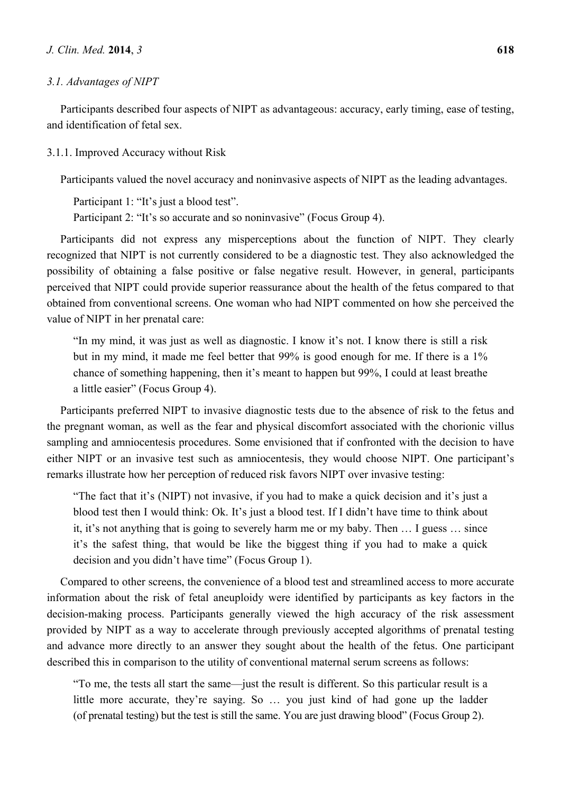## *3.1. Advantages of NIPT*

Participants described four aspects of NIPT as advantageous: accuracy, early timing, ease of testing, and identification of fetal sex.

## 3.1.1. Improved Accuracy without Risk

Participants valued the novel accuracy and noninvasive aspects of NIPT as the leading advantages.

Participant 1: "It's just a blood test". Participant 2: "It's so accurate and so noninvasive" (Focus Group 4).

Participants did not express any misperceptions about the function of NIPT. They clearly recognized that NIPT is not currently considered to be a diagnostic test. They also acknowledged the possibility of obtaining a false positive or false negative result. However, in general, participants perceived that NIPT could provide superior reassurance about the health of the fetus compared to that obtained from conventional screens. One woman who had NIPT commented on how she perceived the value of NIPT in her prenatal care:

"In my mind, it was just as well as diagnostic. I know it's not. I know there is still a risk but in my mind, it made me feel better that 99% is good enough for me. If there is a 1% chance of something happening, then it's meant to happen but 99%, I could at least breathe a little easier" (Focus Group 4).

Participants preferred NIPT to invasive diagnostic tests due to the absence of risk to the fetus and the pregnant woman, as well as the fear and physical discomfort associated with the chorionic villus sampling and amniocentesis procedures. Some envisioned that if confronted with the decision to have either NIPT or an invasive test such as amniocentesis, they would choose NIPT. One participant's remarks illustrate how her perception of reduced risk favors NIPT over invasive testing:

"The fact that it's (NIPT) not invasive, if you had to make a quick decision and it's just a blood test then I would think: Ok. It's just a blood test. If I didn't have time to think about it, it's not anything that is going to severely harm me or my baby. Then … I guess … since it's the safest thing, that would be like the biggest thing if you had to make a quick decision and you didn't have time" (Focus Group 1).

Compared to other screens, the convenience of a blood test and streamlined access to more accurate information about the risk of fetal aneuploidy were identified by participants as key factors in the decision-making process. Participants generally viewed the high accuracy of the risk assessment provided by NIPT as a way to accelerate through previously accepted algorithms of prenatal testing and advance more directly to an answer they sought about the health of the fetus. One participant described this in comparison to the utility of conventional maternal serum screens as follows:

"To me, the tests all start the same—just the result is different. So this particular result is a little more accurate, they're saying. So … you just kind of had gone up the ladder (of prenatal testing) but the test is still the same. You are just drawing blood" (Focus Group 2).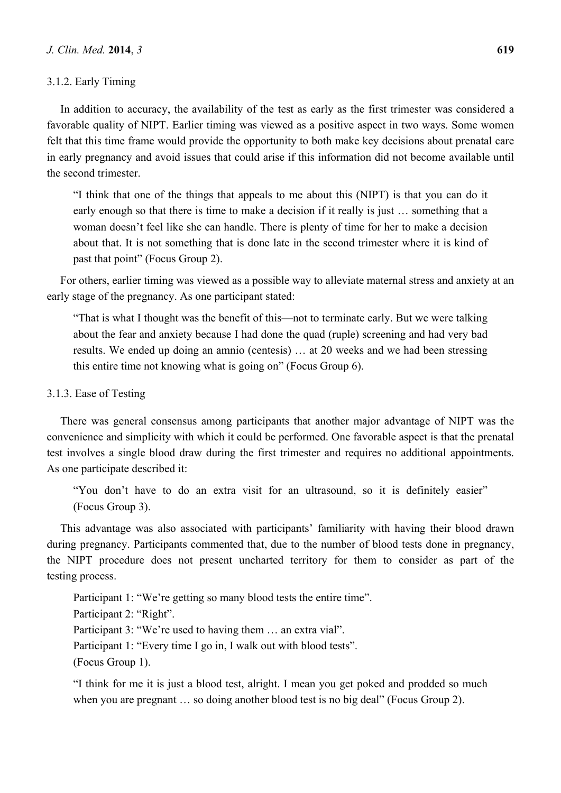# 3.1.2. Early Timing

In addition to accuracy, the availability of the test as early as the first trimester was considered a favorable quality of NIPT. Earlier timing was viewed as a positive aspect in two ways. Some women felt that this time frame would provide the opportunity to both make key decisions about prenatal care in early pregnancy and avoid issues that could arise if this information did not become available until the second trimester.

"I think that one of the things that appeals to me about this (NIPT) is that you can do it early enough so that there is time to make a decision if it really is just … something that a woman doesn't feel like she can handle. There is plenty of time for her to make a decision about that. It is not something that is done late in the second trimester where it is kind of past that point" (Focus Group 2).

For others, earlier timing was viewed as a possible way to alleviate maternal stress and anxiety at an early stage of the pregnancy. As one participant stated:

"That is what I thought was the benefit of this—not to terminate early. But we were talking about the fear and anxiety because I had done the quad (ruple) screening and had very bad results. We ended up doing an amnio (centesis) … at 20 weeks and we had been stressing this entire time not knowing what is going on" (Focus Group 6).

## 3.1.3. Ease of Testing

There was general consensus among participants that another major advantage of NIPT was the convenience and simplicity with which it could be performed. One favorable aspect is that the prenatal test involves a single blood draw during the first trimester and requires no additional appointments. As one participate described it:

"You don't have to do an extra visit for an ultrasound, so it is definitely easier" (Focus Group 3).

This advantage was also associated with participants' familiarity with having their blood drawn during pregnancy. Participants commented that, due to the number of blood tests done in pregnancy, the NIPT procedure does not present uncharted territory for them to consider as part of the testing process.

Participant 1: "We're getting so many blood tests the entire time". Participant 2: "Right". Participant 3: "We're used to having them … an extra vial". Participant 1: "Every time I go in, I walk out with blood tests". (Focus Group 1).

"I think for me it is just a blood test, alright. I mean you get poked and prodded so much when you are pregnant ... so doing another blood test is no big deal" (Focus Group 2).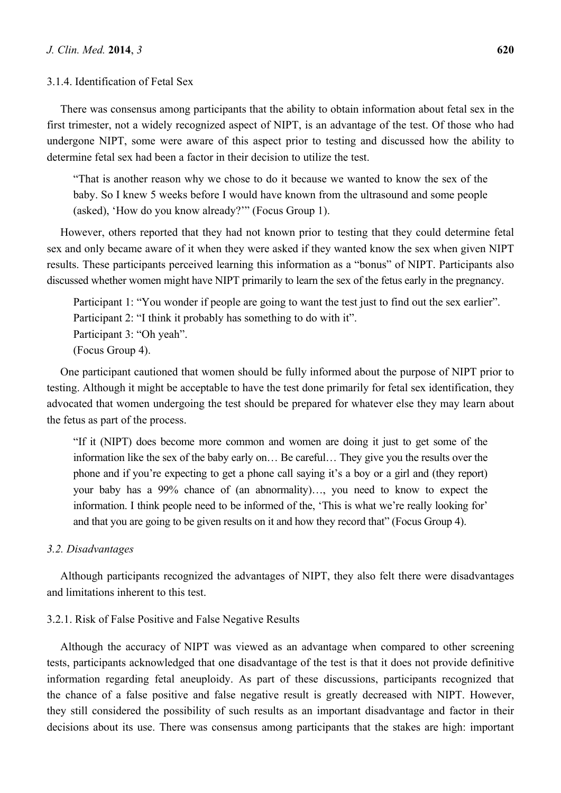#### 3.1.4. Identification of Fetal Sex

There was consensus among participants that the ability to obtain information about fetal sex in the first trimester, not a widely recognized aspect of NIPT, is an advantage of the test. Of those who had undergone NIPT, some were aware of this aspect prior to testing and discussed how the ability to determine fetal sex had been a factor in their decision to utilize the test.

"That is another reason why we chose to do it because we wanted to know the sex of the baby. So I knew 5 weeks before I would have known from the ultrasound and some people (asked), 'How do you know already?'" (Focus Group 1).

However, others reported that they had not known prior to testing that they could determine fetal sex and only became aware of it when they were asked if they wanted know the sex when given NIPT results. These participants perceived learning this information as a "bonus" of NIPT. Participants also discussed whether women might have NIPT primarily to learn the sex of the fetus early in the pregnancy.

Participant 1: "You wonder if people are going to want the test just to find out the sex earlier". Participant 2: "I think it probably has something to do with it". Participant 3: "Oh yeah". (Focus Group 4).

One participant cautioned that women should be fully informed about the purpose of NIPT prior to testing. Although it might be acceptable to have the test done primarily for fetal sex identification, they advocated that women undergoing the test should be prepared for whatever else they may learn about the fetus as part of the process.

"If it (NIPT) does become more common and women are doing it just to get some of the information like the sex of the baby early on… Be careful… They give you the results over the phone and if you're expecting to get a phone call saying it's a boy or a girl and (they report) your baby has a 99% chance of (an abnormality)…, you need to know to expect the information. I think people need to be informed of the, 'This is what we're really looking for' and that you are going to be given results on it and how they record that" (Focus Group 4).

#### *3.2. Disadvantages*

Although participants recognized the advantages of NIPT, they also felt there were disadvantages and limitations inherent to this test.

## 3.2.1. Risk of False Positive and False Negative Results

Although the accuracy of NIPT was viewed as an advantage when compared to other screening tests, participants acknowledged that one disadvantage of the test is that it does not provide definitive information regarding fetal aneuploidy. As part of these discussions, participants recognized that the chance of a false positive and false negative result is greatly decreased with NIPT. However, they still considered the possibility of such results as an important disadvantage and factor in their decisions about its use. There was consensus among participants that the stakes are high: important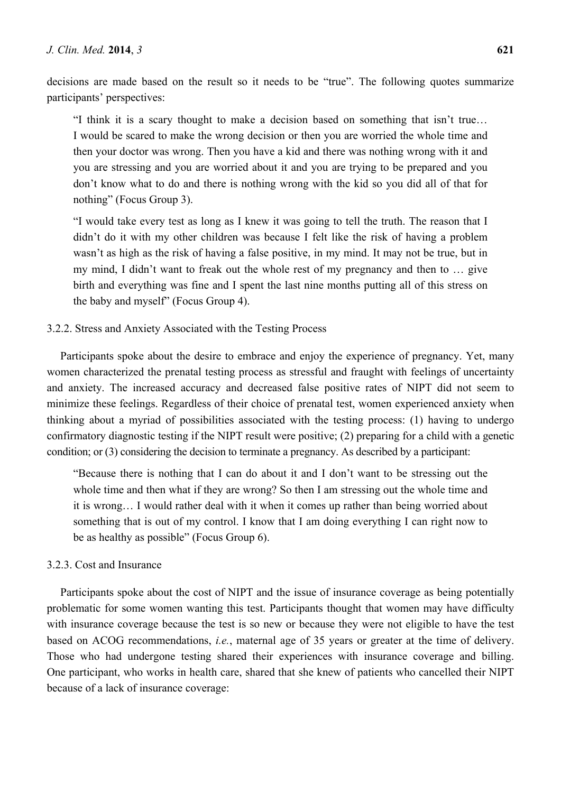decisions are made based on the result so it needs to be "true". The following quotes summarize participants' perspectives:

"I think it is a scary thought to make a decision based on something that isn't true… I would be scared to make the wrong decision or then you are worried the whole time and then your doctor was wrong. Then you have a kid and there was nothing wrong with it and you are stressing and you are worried about it and you are trying to be prepared and you don't know what to do and there is nothing wrong with the kid so you did all of that for nothing" (Focus Group 3).

"I would take every test as long as I knew it was going to tell the truth. The reason that I didn't do it with my other children was because I felt like the risk of having a problem wasn't as high as the risk of having a false positive, in my mind. It may not be true, but in my mind, I didn't want to freak out the whole rest of my pregnancy and then to … give birth and everything was fine and I spent the last nine months putting all of this stress on the baby and myself" (Focus Group 4).

## 3.2.2. Stress and Anxiety Associated with the Testing Process

Participants spoke about the desire to embrace and enjoy the experience of pregnancy. Yet, many women characterized the prenatal testing process as stressful and fraught with feelings of uncertainty and anxiety. The increased accuracy and decreased false positive rates of NIPT did not seem to minimize these feelings. Regardless of their choice of prenatal test, women experienced anxiety when thinking about a myriad of possibilities associated with the testing process: (1) having to undergo confirmatory diagnostic testing if the NIPT result were positive; (2) preparing for a child with a genetic condition; or (3) considering the decision to terminate a pregnancy. As described by a participant:

"Because there is nothing that I can do about it and I don't want to be stressing out the whole time and then what if they are wrong? So then I am stressing out the whole time and it is wrong… I would rather deal with it when it comes up rather than being worried about something that is out of my control. I know that I am doing everything I can right now to be as healthy as possible" (Focus Group 6).

# 3.2.3. Cost and Insurance

Participants spoke about the cost of NIPT and the issue of insurance coverage as being potentially problematic for some women wanting this test. Participants thought that women may have difficulty with insurance coverage because the test is so new or because they were not eligible to have the test based on ACOG recommendations, *i.e.*, maternal age of 35 years or greater at the time of delivery. Those who had undergone testing shared their experiences with insurance coverage and billing. One participant, who works in health care, shared that she knew of patients who cancelled their NIPT because of a lack of insurance coverage: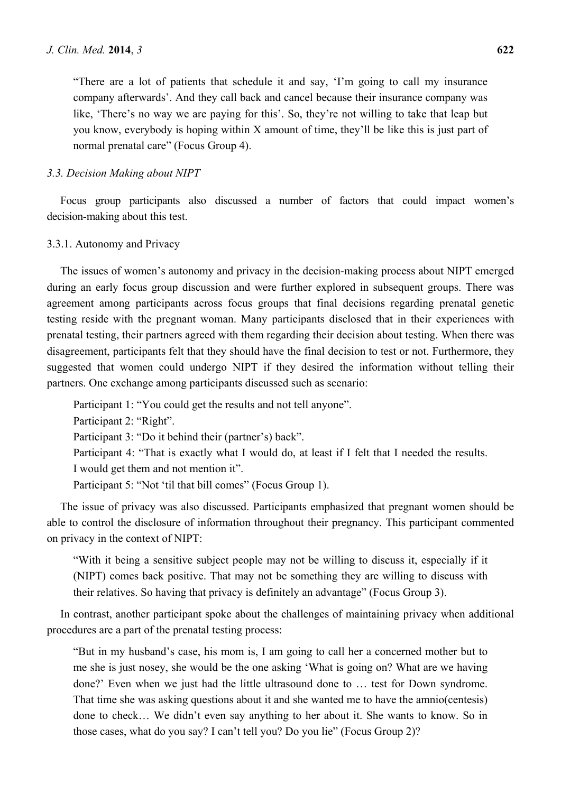"There are a lot of patients that schedule it and say, 'I'm going to call my insurance company afterwards'. And they call back and cancel because their insurance company was like, 'There's no way we are paying for this'. So, they're not willing to take that leap but you know, everybody is hoping within X amount of time, they'll be like this is just part of normal prenatal care" (Focus Group 4).

### *3.3. Decision Making about NIPT*

Focus group participants also discussed a number of factors that could impact women's decision-making about this test.

#### 3.3.1. Autonomy and Privacy

The issues of women's autonomy and privacy in the decision-making process about NIPT emerged during an early focus group discussion and were further explored in subsequent groups. There was agreement among participants across focus groups that final decisions regarding prenatal genetic testing reside with the pregnant woman. Many participants disclosed that in their experiences with prenatal testing, their partners agreed with them regarding their decision about testing. When there was disagreement, participants felt that they should have the final decision to test or not. Furthermore, they suggested that women could undergo NIPT if they desired the information without telling their partners. One exchange among participants discussed such as scenario:

Participant 1: "You could get the results and not tell anyone". Participant 2: "Right". Participant 3: "Do it behind their (partner's) back". Participant 4: "That is exactly what I would do, at least if I felt that I needed the results. I would get them and not mention it". Participant 5: "Not 'til that bill comes" (Focus Group 1).

The issue of privacy was also discussed. Participants emphasized that pregnant women should be able to control the disclosure of information throughout their pregnancy. This participant commented on privacy in the context of NIPT:

"With it being a sensitive subject people may not be willing to discuss it, especially if it (NIPT) comes back positive. That may not be something they are willing to discuss with their relatives. So having that privacy is definitely an advantage" (Focus Group 3).

In contrast, another participant spoke about the challenges of maintaining privacy when additional procedures are a part of the prenatal testing process:

"But in my husband's case, his mom is, I am going to call her a concerned mother but to me she is just nosey, she would be the one asking 'What is going on? What are we having done?' Even when we just had the little ultrasound done to … test for Down syndrome. That time she was asking questions about it and she wanted me to have the amnio(centesis) done to check… We didn't even say anything to her about it. She wants to know. So in those cases, what do you say? I can't tell you? Do you lie" (Focus Group 2)?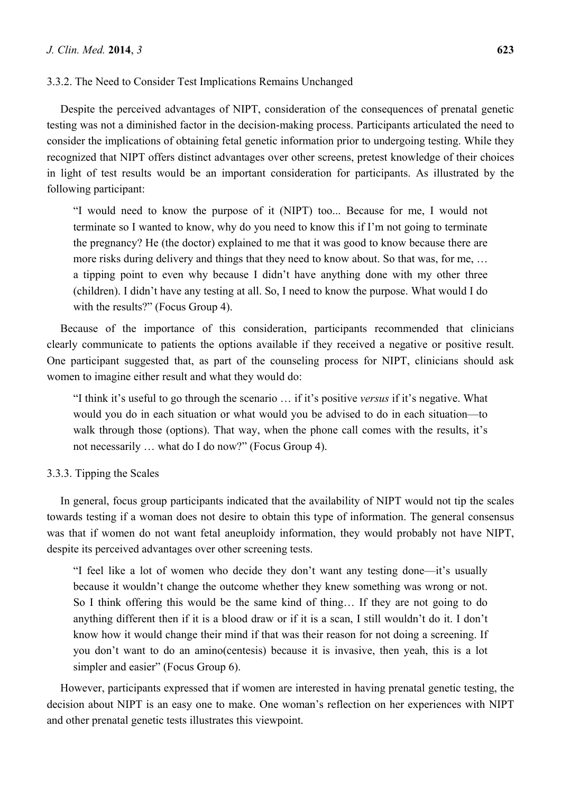# 3.3.2. The Need to Consider Test Implications Remains Unchanged

Despite the perceived advantages of NIPT, consideration of the consequences of prenatal genetic testing was not a diminished factor in the decision-making process. Participants articulated the need to consider the implications of obtaining fetal genetic information prior to undergoing testing. While they recognized that NIPT offers distinct advantages over other screens, pretest knowledge of their choices in light of test results would be an important consideration for participants. As illustrated by the following participant:

"I would need to know the purpose of it (NIPT) too... Because for me, I would not terminate so I wanted to know, why do you need to know this if I'm not going to terminate the pregnancy? He (the doctor) explained to me that it was good to know because there are more risks during delivery and things that they need to know about. So that was, for me, … a tipping point to even why because I didn't have anything done with my other three (children). I didn't have any testing at all. So, I need to know the purpose. What would I do with the results?" (Focus Group 4).

Because of the importance of this consideration, participants recommended that clinicians clearly communicate to patients the options available if they received a negative or positive result. One participant suggested that, as part of the counseling process for NIPT, clinicians should ask women to imagine either result and what they would do:

"I think it's useful to go through the scenario … if it's positive *versus* if it's negative. What would you do in each situation or what would you be advised to do in each situation—to walk through those (options). That way, when the phone call comes with the results, it's not necessarily … what do I do now?" (Focus Group 4).

### 3.3.3. Tipping the Scales

In general, focus group participants indicated that the availability of NIPT would not tip the scales towards testing if a woman does not desire to obtain this type of information. The general consensus was that if women do not want fetal aneuploidy information, they would probably not have NIPT, despite its perceived advantages over other screening tests.

"I feel like a lot of women who decide they don't want any testing done—it's usually because it wouldn't change the outcome whether they knew something was wrong or not. So I think offering this would be the same kind of thing… If they are not going to do anything different then if it is a blood draw or if it is a scan, I still wouldn't do it. I don't know how it would change their mind if that was their reason for not doing a screening. If you don't want to do an amino(centesis) because it is invasive, then yeah, this is a lot simpler and easier" (Focus Group 6).

However, participants expressed that if women are interested in having prenatal genetic testing, the decision about NIPT is an easy one to make. One woman's reflection on her experiences with NIPT and other prenatal genetic tests illustrates this viewpoint.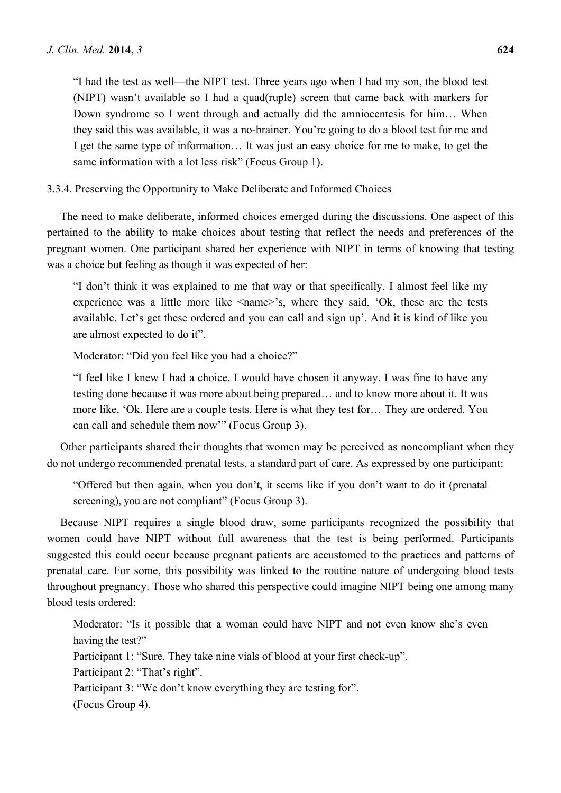"I had the test as well—the NIPT test. Three years ago when I had my son, the blood test (NIPT) wasn't available so I had a quad(ruple) screen that came back with markers for Down syndrome so I went through and actually did the amniocentesis for him… When they said this was available, it was a no-brainer. You're going to do a blood test for me and I get the same type of information… It was just an easy choice for me to make, to get the same information with a lot less risk" (Focus Group 1).

# 3.3.4. Preserving the Opportunity to Make Deliberate and Informed Choices

The need to make deliberate, informed choices emerged during the discussions. One aspect of this pertained to the ability to make choices about testing that reflect the needs and preferences of the pregnant women. One participant shared her experience with NIPT in terms of knowing that testing was a choice but feeling as though it was expected of her:

"I don't think it was explained to me that way or that specifically. I almost feel like my experience was a little more like <name>'s, where they said, 'Ok, these are the tests available. Let's get these ordered and you can call and sign up'. And it is kind of like you are almost expected to do it".

Moderator: "Did you feel like you had a choice?"

"I feel like I knew I had a choice. I would have chosen it anyway. I was fine to have any testing done because it was more about being prepared… and to know more about it. It was more like, 'Ok. Here are a couple tests. Here is what they test for… They are ordered. You can call and schedule them now'" (Focus Group 3).

Other participants shared their thoughts that women may be perceived as noncompliant when they do not undergo recommended prenatal tests, a standard part of care. As expressed by one participant:

"Offered but then again, when you don't, it seems like if you don't want to do it (prenatal screening), you are not compliant" (Focus Group 3).

Because NIPT requires a single blood draw, some participants recognized the possibility that women could have NIPT without full awareness that the test is being performed. Participants suggested this could occur because pregnant patients are accustomed to the practices and patterns of prenatal care. For some, this possibility was linked to the routine nature of undergoing blood tests throughout pregnancy. Those who shared this perspective could imagine NIPT being one among many blood tests ordered:

Moderator: "Is it possible that a woman could have NIPT and not even know she's even having the test?" Participant 1: "Sure. They take nine vials of blood at your first check-up". Participant 2: "That's right". Participant 3: "We don't know everything they are testing for". (Focus Group 4).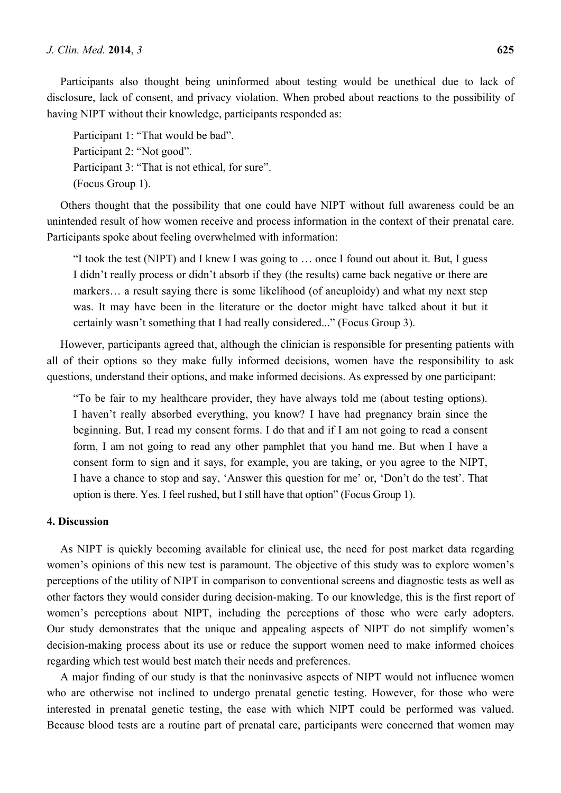Participants also thought being uninformed about testing would be unethical due to lack of disclosure, lack of consent, and privacy violation. When probed about reactions to the possibility of having NIPT without their knowledge, participants responded as:

Participant 1: "That would be bad". Participant 2: "Not good". Participant 3: "That is not ethical, for sure". (Focus Group 1).

Others thought that the possibility that one could have NIPT without full awareness could be an unintended result of how women receive and process information in the context of their prenatal care. Participants spoke about feeling overwhelmed with information:

"I took the test (NIPT) and I knew I was going to … once I found out about it. But, I guess I didn't really process or didn't absorb if they (the results) came back negative or there are markers… a result saying there is some likelihood (of aneuploidy) and what my next step was. It may have been in the literature or the doctor might have talked about it but it certainly wasn't something that I had really considered..." (Focus Group 3).

However, participants agreed that, although the clinician is responsible for presenting patients with all of their options so they make fully informed decisions, women have the responsibility to ask questions, understand their options, and make informed decisions. As expressed by one participant:

"To be fair to my healthcare provider, they have always told me (about testing options). I haven't really absorbed everything, you know? I have had pregnancy brain since the beginning. But, I read my consent forms. I do that and if I am not going to read a consent form, I am not going to read any other pamphlet that you hand me. But when I have a consent form to sign and it says, for example, you are taking, or you agree to the NIPT, I have a chance to stop and say, 'Answer this question for me' or, 'Don't do the test'. That option is there. Yes. I feel rushed, but I still have that option" (Focus Group 1).

# **4. Discussion**

As NIPT is quickly becoming available for clinical use, the need for post market data regarding women's opinions of this new test is paramount. The objective of this study was to explore women's perceptions of the utility of NIPT in comparison to conventional screens and diagnostic tests as well as other factors they would consider during decision-making. To our knowledge, this is the first report of women's perceptions about NIPT, including the perceptions of those who were early adopters. Our study demonstrates that the unique and appealing aspects of NIPT do not simplify women's decision-making process about its use or reduce the support women need to make informed choices regarding which test would best match their needs and preferences.

A major finding of our study is that the noninvasive aspects of NIPT would not influence women who are otherwise not inclined to undergo prenatal genetic testing. However, for those who were interested in prenatal genetic testing, the ease with which NIPT could be performed was valued. Because blood tests are a routine part of prenatal care, participants were concerned that women may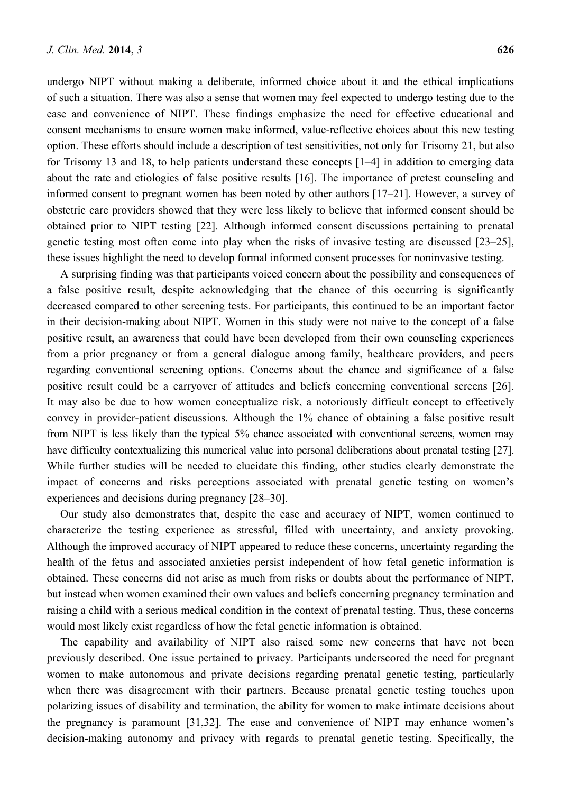undergo NIPT without making a deliberate, informed choice about it and the ethical implications of such a situation. There was also a sense that women may feel expected to undergo testing due to the ease and convenience of NIPT. These findings emphasize the need for effective educational and consent mechanisms to ensure women make informed, value-reflective choices about this new testing option. These efforts should include a description of test sensitivities, not only for Trisomy 21, but also for Trisomy 13 and 18, to help patients understand these concepts [1–4] in addition to emerging data about the rate and etiologies of false positive results [16]. The importance of pretest counseling and informed consent to pregnant women has been noted by other authors [17–21]. However, a survey of obstetric care providers showed that they were less likely to believe that informed consent should be obtained prior to NIPT testing [22]. Although informed consent discussions pertaining to prenatal genetic testing most often come into play when the risks of invasive testing are discussed [23–25], these issues highlight the need to develop formal informed consent processes for noninvasive testing.

A surprising finding was that participants voiced concern about the possibility and consequences of a false positive result, despite acknowledging that the chance of this occurring is significantly decreased compared to other screening tests. For participants, this continued to be an important factor in their decision-making about NIPT. Women in this study were not naive to the concept of a false positive result, an awareness that could have been developed from their own counseling experiences from a prior pregnancy or from a general dialogue among family, healthcare providers, and peers regarding conventional screening options. Concerns about the chance and significance of a false positive result could be a carryover of attitudes and beliefs concerning conventional screens [26]. It may also be due to how women conceptualize risk, a notoriously difficult concept to effectively convey in provider-patient discussions. Although the 1% chance of obtaining a false positive result from NIPT is less likely than the typical 5% chance associated with conventional screens, women may have difficulty contextualizing this numerical value into personal deliberations about prenatal testing [27]. While further studies will be needed to elucidate this finding, other studies clearly demonstrate the impact of concerns and risks perceptions associated with prenatal genetic testing on women's experiences and decisions during pregnancy [28–30].

Our study also demonstrates that, despite the ease and accuracy of NIPT, women continued to characterize the testing experience as stressful, filled with uncertainty, and anxiety provoking. Although the improved accuracy of NIPT appeared to reduce these concerns, uncertainty regarding the health of the fetus and associated anxieties persist independent of how fetal genetic information is obtained. These concerns did not arise as much from risks or doubts about the performance of NIPT, but instead when women examined their own values and beliefs concerning pregnancy termination and raising a child with a serious medical condition in the context of prenatal testing. Thus, these concerns would most likely exist regardless of how the fetal genetic information is obtained.

The capability and availability of NIPT also raised some new concerns that have not been previously described. One issue pertained to privacy. Participants underscored the need for pregnant women to make autonomous and private decisions regarding prenatal genetic testing, particularly when there was disagreement with their partners. Because prenatal genetic testing touches upon polarizing issues of disability and termination, the ability for women to make intimate decisions about the pregnancy is paramount [31,32]. The ease and convenience of NIPT may enhance women's decision-making autonomy and privacy with regards to prenatal genetic testing. Specifically, the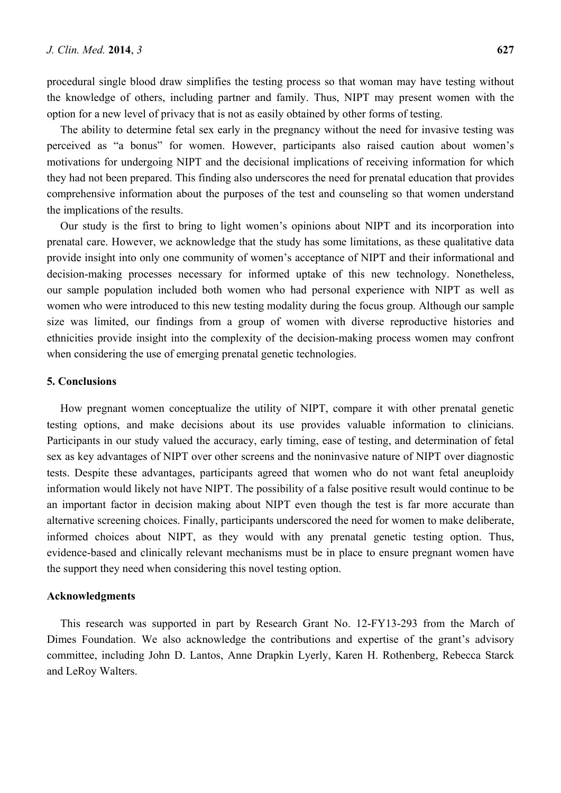procedural single blood draw simplifies the testing process so that woman may have testing without the knowledge of others, including partner and family. Thus, NIPT may present women with the option for a new level of privacy that is not as easily obtained by other forms of testing.

The ability to determine fetal sex early in the pregnancy without the need for invasive testing was perceived as "a bonus" for women. However, participants also raised caution about women's motivations for undergoing NIPT and the decisional implications of receiving information for which they had not been prepared. This finding also underscores the need for prenatal education that provides comprehensive information about the purposes of the test and counseling so that women understand the implications of the results.

Our study is the first to bring to light women's opinions about NIPT and its incorporation into prenatal care. However, we acknowledge that the study has some limitations, as these qualitative data provide insight into only one community of women's acceptance of NIPT and their informational and decision-making processes necessary for informed uptake of this new technology. Nonetheless, our sample population included both women who had personal experience with NIPT as well as women who were introduced to this new testing modality during the focus group. Although our sample size was limited, our findings from a group of women with diverse reproductive histories and ethnicities provide insight into the complexity of the decision-making process women may confront when considering the use of emerging prenatal genetic technologies.

## **5. Conclusions**

How pregnant women conceptualize the utility of NIPT, compare it with other prenatal genetic testing options, and make decisions about its use provides valuable information to clinicians. Participants in our study valued the accuracy, early timing, ease of testing, and determination of fetal sex as key advantages of NIPT over other screens and the noninvasive nature of NIPT over diagnostic tests. Despite these advantages, participants agreed that women who do not want fetal aneuploidy information would likely not have NIPT. The possibility of a false positive result would continue to be an important factor in decision making about NIPT even though the test is far more accurate than alternative screening choices. Finally, participants underscored the need for women to make deliberate, informed choices about NIPT, as they would with any prenatal genetic testing option. Thus, evidence-based and clinically relevant mechanisms must be in place to ensure pregnant women have the support they need when considering this novel testing option.

## **Acknowledgments**

This research was supported in part by Research Grant No. 12-FY13-293 from the March of Dimes Foundation. We also acknowledge the contributions and expertise of the grant's advisory committee, including John D. Lantos, Anne Drapkin Lyerly, Karen H. Rothenberg, Rebecca Starck and LeRoy Walters.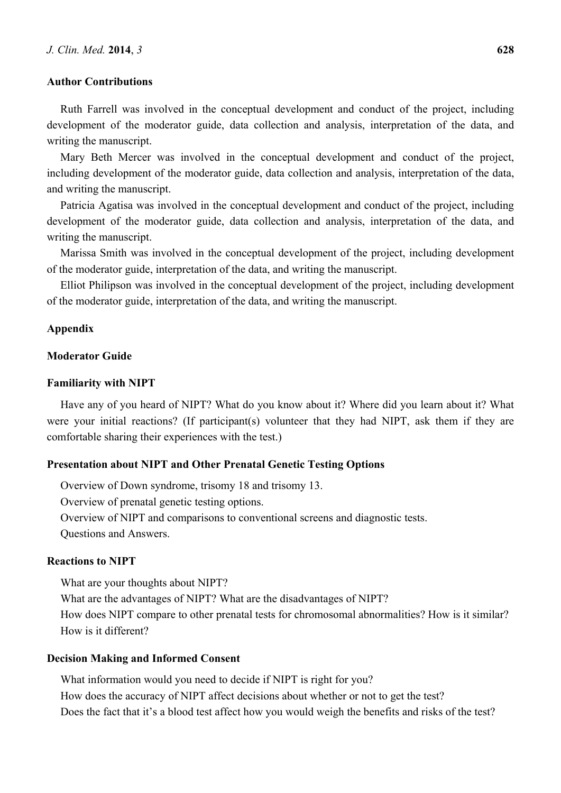## **Author Contributions**

Ruth Farrell was involved in the conceptual development and conduct of the project, including development of the moderator guide, data collection and analysis, interpretation of the data, and writing the manuscript.

Mary Beth Mercer was involved in the conceptual development and conduct of the project, including development of the moderator guide, data collection and analysis, interpretation of the data, and writing the manuscript.

Patricia Agatisa was involved in the conceptual development and conduct of the project, including development of the moderator guide, data collection and analysis, interpretation of the data, and writing the manuscript.

Marissa Smith was involved in the conceptual development of the project, including development of the moderator guide, interpretation of the data, and writing the manuscript.

Elliot Philipson was involved in the conceptual development of the project, including development of the moderator guide, interpretation of the data, and writing the manuscript.

# **Appendix**

# **Moderator Guide**

#### **Familiarity with NIPT**

Have any of you heard of NIPT? What do you know about it? Where did you learn about it? What were your initial reactions? (If participant(s) volunteer that they had NIPT, ask them if they are comfortable sharing their experiences with the test.)

## **Presentation about NIPT and Other Prenatal Genetic Testing Options**

Overview of Down syndrome, trisomy 18 and trisomy 13. Overview of prenatal genetic testing options. Overview of NIPT and comparisons to conventional screens and diagnostic tests. Questions and Answers.

# **Reactions to NIPT**

What are your thoughts about NIPT?

What are the advantages of NIPT? What are the disadvantages of NIPT? How does NIPT compare to other prenatal tests for chromosomal abnormalities? How is it similar? How is it different?

# **Decision Making and Informed Consent**

What information would you need to decide if NIPT is right for you? How does the accuracy of NIPT affect decisions about whether or not to get the test? Does the fact that it's a blood test affect how you would weigh the benefits and risks of the test?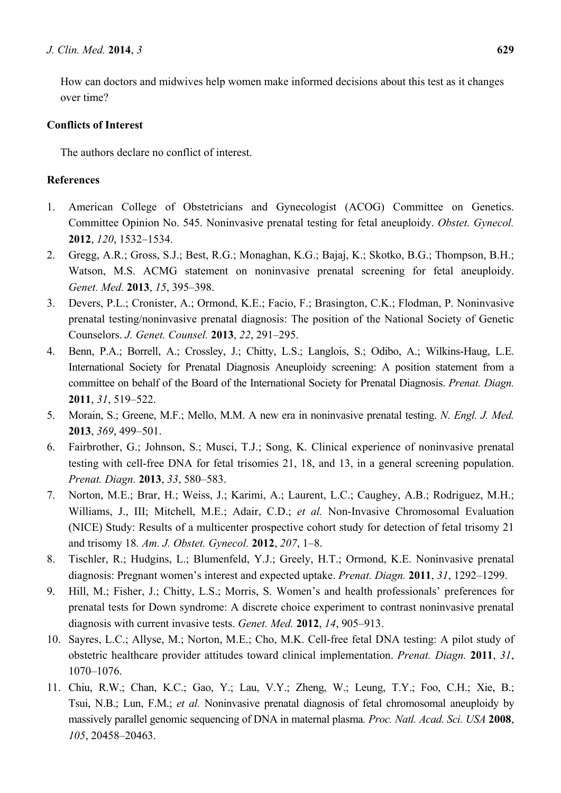How can doctors and midwives help women make informed decisions about this test as it changes over time?

# **Conflicts of Interest**

The authors declare no conflict of interest.

# **References**

- 1. American College of Obstetricians and Gynecologist (ACOG) Committee on Genetics. Committee Opinion No. 545. Noninvasive prenatal testing for fetal aneuploidy. *Obstet. Gynecol.* **2012**, *120*, 1532–1534.
- 2. Gregg, A.R.; Gross, S.J.; Best, R.G.; Monaghan, K.G.; Bajaj, K.; Skotko, B.G.; Thompson, B.H.; Watson, M.S. ACMG statement on noninvasive prenatal screening for fetal aneuploidy. *Genet. Med.* **2013**, *15*, 395–398.
- 3. Devers, P.L.; Cronister, A.; Ormond, K.E.; Facio, F.; Brasington, C.K.; Flodman, P. Noninvasive prenatal testing/noninvasive prenatal diagnosis: The position of the National Society of Genetic Counselors. *J. Genet. Counsel.* **2013**, *22*, 291–295.
- 4. Benn, P.A.; Borrell, A.; Crossley, J.; Chitty, L.S.; Langlois, S.; Odibo, A.; Wilkins-Haug, L.E. International Society for Prenatal Diagnosis Aneuploidy screening: A position statement from a committee on behalf of the Board of the International Society for Prenatal Diagnosis. *Prenat. Diagn.* **2011**, *31*, 519–522.
- 5. Morain, S.; Greene, M.F.; Mello, M.M. A new era in noninvasive prenatal testing. *N. Engl. J. Med.*  **2013**, *369*, 499–501.
- 6. Fairbrother, G.; Johnson, S.; Musci, T.J.; Song, K. Clinical experience of noninvasive prenatal testing with cell-free DNA for fetal trisomies 21, 18, and 13, in a general screening population. *Prenat. Diagn.* **2013**, *33*, 580–583.
- 7. Norton, M.E.; Brar, H.; Weiss, J.; Karimi, A.; Laurent, L.C.; Caughey, A.B.; Rodriguez, M.H.; Williams, J., III; Mitchell, M.E.; Adair, C.D.; *et al.* Non-Invasive Chromosomal Evaluation (NICE) Study: Results of a multicenter prospective cohort study for detection of fetal trisomy 21 and trisomy 18*. Am. J. Obstet. Gynecol.* **2012**, *207*, 1–8.
- 8. Tischler, R.; Hudgins, L.; Blumenfeld, Y.J.; Greely, H.T.; Ormond, K.E. Noninvasive prenatal diagnosis: Pregnant women's interest and expected uptake. *Prenat. Diagn.* **2011**, *31*, 1292–1299.
- 9. Hill, M.; Fisher, J.; Chitty, L.S.; Morris, S. Women's and health professionals' preferences for prenatal tests for Down syndrome: A discrete choice experiment to contrast noninvasive prenatal diagnosis with current invasive tests. *Genet. Med.* **2012**, *14*, 905–913.
- 10. Sayres, L.C.; Allyse, M.; Norton, M.E.; Cho, M.K. Cell-free fetal DNA testing: A pilot study of obstetric healthcare provider attitudes toward clinical implementation. *Prenat. Diagn.* **2011**, *31*, 1070–1076.
- 11. Chiu, R.W.; Chan, K.C.; Gao, Y.; Lau, V.Y.; Zheng, W.; Leung, T.Y.; Foo, C.H.; Xie, B.; Tsui, N.B.; Lun, F.M.; *et al.* Noninvasive prenatal diagnosis of fetal chromosomal aneuploidy by massively parallel genomic sequencing of DNA in maternal plasma*. Proc. Natl. Acad. Sci. USA* **2008**, *105*, 20458–20463.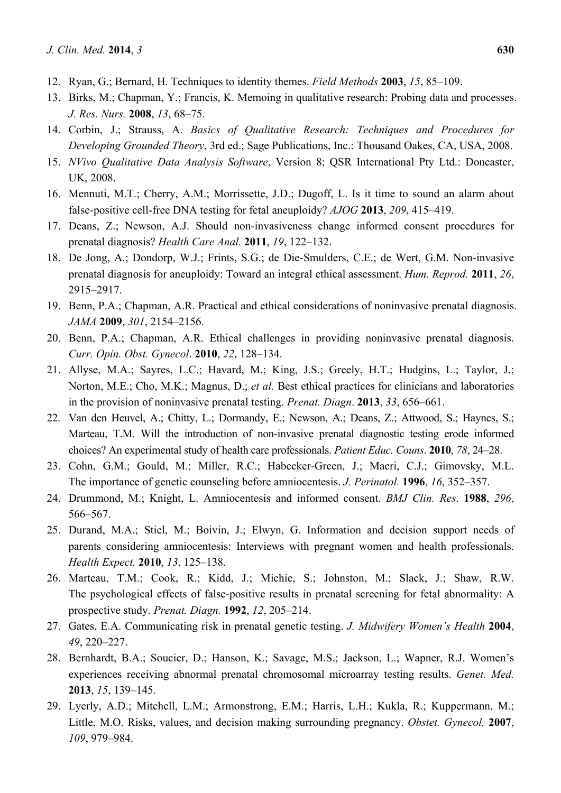- 12. Ryan, G.; Bernard, H. Techniques to identity themes. *Field Methods* **2003**, *15*, 85–109.
- 13. Birks, M.; Chapman, Y.; Francis, K. Memoing in qualitative research: Probing data and processes. *J. Res. Nurs.* **2008**, *13*, 68–75.
- 14. Corbin, J.; Strauss, A. *Basics of Qualitative Research: Techniques and Procedures for Developing Grounded Theory*, 3rd ed.; Sage Publications, Inc.: Thousand Oakes, CA, USA, 2008.
- 15. *NVivo Qualitative Data Analysis Software*, Version 8; QSR International Pty Ltd.: Doncaster, UK, 2008.
- 16. Mennuti, M.T.; Cherry, A.M.; Morrissette, J.D.; Dugoff, L. Is it time to sound an alarm about false-positive cell-free DNA testing for fetal aneuploidy? *AJOG* **2013**, *209*, 415–419.
- 17. Deans, Z.; Newson, A.J. Should non-invasiveness change informed consent procedures for prenatal diagnosis? *Health Care Anal.* **2011**, *19*, 122–132.
- 18. De Jong, A.; Dondorp, W.J.; Frints, S.G.; de Die-Smulders, C.E.; de Wert, G.M. Non-invasive prenatal diagnosis for aneuploidy: Toward an integral ethical assessment. *Hum. Reprod.* **2011**, *26*, 2915–2917.
- 19. Benn, P.A.; Chapman, A.R. Practical and ethical considerations of noninvasive prenatal diagnosis. *JAMA* **2009**, *301*, 2154–2156.
- 20. Benn, P.A.; Chapman, A.R. Ethical challenges in providing noninvasive prenatal diagnosis. *Curr. Opin. Obst. Gynecol*. **2010**, *22*, 128–134.
- 21. Allyse, M.A.; Sayres, L.C.; Havard, M.; King, J.S.; Greely, H.T.; Hudgins, L.; Taylor, J.; Norton, M.E.; Cho, M.K.; Magnus, D.; *et al.* Best ethical practices for clinicians and laboratories in the provision of noninvasive prenatal testing. *Prenat. Diagn*. **2013**, *33*, 656–661.
- 22. Van den Heuvel, A.; Chitty, L.; Dormandy, E.; Newson, A.; Deans, Z.; Attwood, S.; Haynes, S.; Marteau, T.M. Will the introduction of non-invasive prenatal diagnostic testing erode informed choices? An experimental study of health care professionals. *Patient Educ. Couns*. **2010**, *78*, 24–28.
- 23. Cohn, G.M.; Gould, M.; Miller, R.C.; Habecker-Green, J.; Macri, C.J.; Gimovsky, M.L. The importance of genetic counseling before amniocentesis. *J. Perinatol.* **1996**, *16*, 352–357.
- 24. Drummond, M.; Knight, L. Amniocentesis and informed consent. *BMJ Clin. Res*. **1988**, *296*, 566–567.
- 25. Durand, M.A.; Stiel, M.; Boivin, J.; Elwyn, G. Information and decision support needs of parents considering amniocentesis: Interviews with pregnant women and health professionals. *Health Expect.* **2010**, *13*, 125–138.
- 26. Marteau, T.M.; Cook, R.; Kidd, J.; Michie, S.; Johnston, M.; Slack, J.; Shaw, R.W. The psychological effects of false-positive results in prenatal screening for fetal abnormality: A prospective study. *Prenat. Diagn.* **1992**, *12*, 205–214.
- 27. Gates, E.A. Communicating risk in prenatal genetic testing. *J. Midwifery Women's Health* **2004**, *49*, 220–227.
- 28. Bernhardt, B.A.; Soucier, D.; Hanson, K.; Savage, M.S.; Jackson, L.; Wapner, R.J. Women's experiences receiving abnormal prenatal chromosomal microarray testing results. *Genet. Med.*  **2013**, *15*, 139–145.
- 29. Lyerly, A.D.; Mitchell, L.M.; Armonstrong, E.M.; Harris, L.H.; Kukla, R.; Kuppermann, M.; Little, M.O. Risks, values, and decision making surrounding pregnancy. *Obstet. Gynecol.* **2007**, *109*, 979–984.